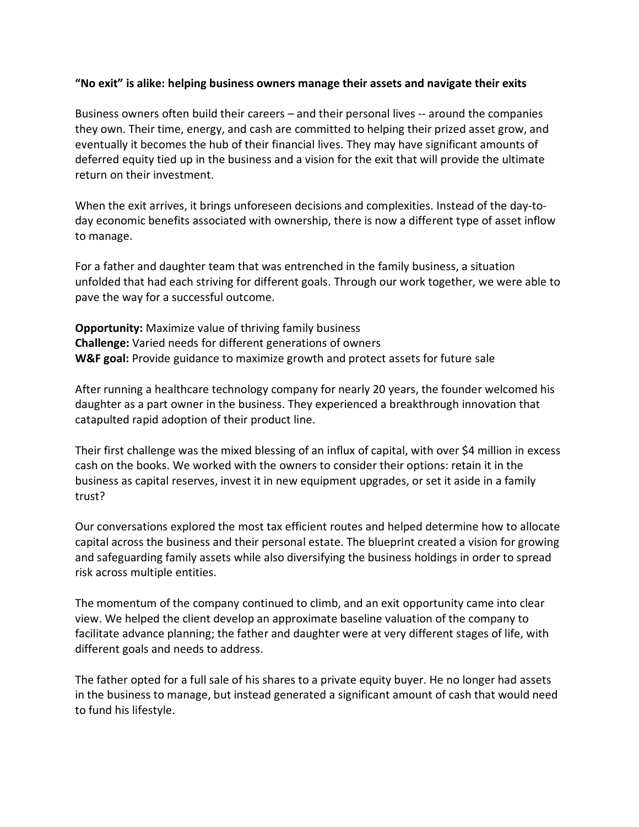## **"No exit" is alike: helping business owners manage their assets and navigate their exits**

Business owners often build their careers – and their personal lives -- around the companies they own. Their time, energy, and cash are committed to helping their prized asset grow, and eventually it becomes the hub of their financial lives. They may have significant amounts of deferred equity tied up in the business and a vision for the exit that will provide the ultimate return on their investment.

When the exit arrives, it brings unforeseen decisions and complexities. Instead of the day-today economic benefits associated with ownership, there is now a different type of asset inflow to manage.

For a father and daughter team that was entrenched in the family business, a situation unfolded that had each striving for different goals. Through our work together, we were able to pave the way for a successful outcome.

**Opportunity:** Maximize value of thriving family business **Challenge:** Varied needs for different generations of owners **W&F goal:** Provide guidance to maximize growth and protect assets for future sale

After running a healthcare technology company for nearly 20 years, the founder welcomed his daughter as a part owner in the business. They experienced a breakthrough innovation that catapulted rapid adoption of their product line.

Their first challenge was the mixed blessing of an influx of capital, with over \$4 million in excess cash on the books. We worked with the owners to consider their options: retain it in the business as capital reserves, invest it in new equipment upgrades, or set it aside in a family trust?

Our conversations explored the most tax efficient routes and helped determine how to allocate capital across the business and their personal estate. The blueprint created a vision for growing and safeguarding family assets while also diversifying the business holdings in order to spread risk across multiple entities.

The momentum of the company continued to climb, and an exit opportunity came into clear view. We helped the client develop an approximate baseline valuation of the company to facilitate advance planning; the father and daughter were at very different stages of life, with different goals and needs to address.

The father opted for a full sale of his shares to a private equity buyer. He no longer had assets in the business to manage, but instead generated a significant amount of cash that would need to fund his lifestyle.